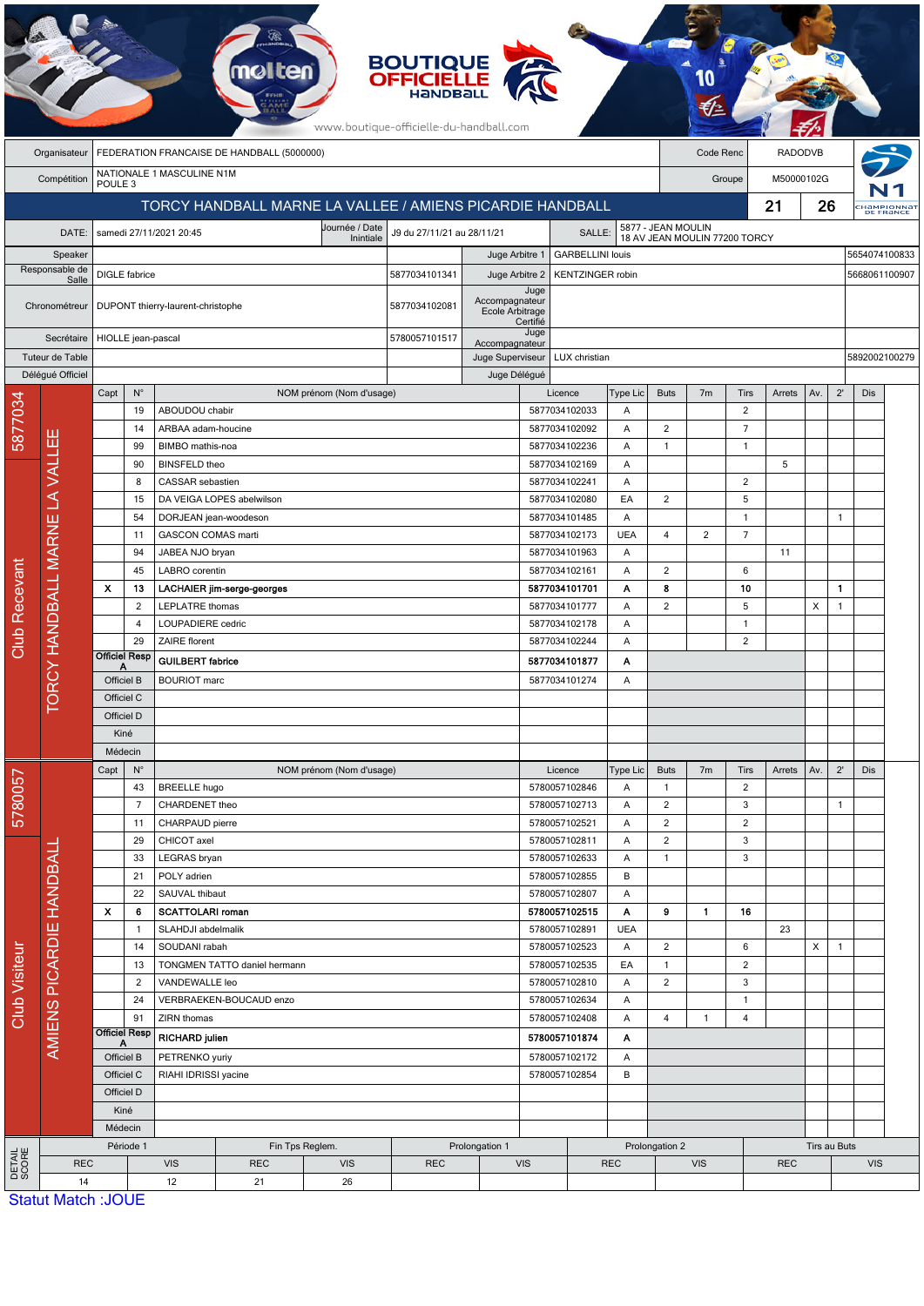|                                                                |                                                            |                                                           |                                    |                                               | <b>melten</b>                   |                                | <b>BOUTIQUE<br/>OFFICIELLE</b><br>www.boutique-officielle-du-handball.com |                                                               |                  |                                          |                 |                                  |                |                                |            |            |               |                          |  |
|----------------------------------------------------------------|------------------------------------------------------------|-----------------------------------------------------------|------------------------------------|-----------------------------------------------|---------------------------------|--------------------------------|---------------------------------------------------------------------------|---------------------------------------------------------------|------------------|------------------------------------------|-----------------|----------------------------------|----------------|--------------------------------|------------|------------|---------------|--------------------------|--|
|                                                                | FEDERATION FRANCAISE DE HANDBALL (5000000)<br>Organisateur |                                                           |                                    |                                               |                                 |                                |                                                                           |                                                               |                  | Code Renc                                |                 | <b>RADODVB</b>                   |                |                                |            |            |               |                          |  |
| NATIONALE 1 MASCULINE N1M<br>Compétition<br>POULE <sub>3</sub> |                                                            |                                                           |                                    |                                               |                                 |                                |                                                                           |                                                               |                  |                                          |                 | Groupe                           |                |                                |            | M50000102G |               |                          |  |
|                                                                |                                                            | TORCY HANDBALL MARNE LA VALLEE / AMIENS PICARDIE HANDBALL |                                    |                                               |                                 |                                |                                                                           |                                                               |                  |                                          |                 |                                  |                |                                |            | 21<br>26   |               | :Hampionnal<br>DE FRANCE |  |
|                                                                | DATE:                                                      |                                                           |                                    | samedi 27/11/2021 20:45                       |                                 | J9 du 27/11/21 au 28/11/21     |                                                                           | 5877 - JEAN MOULIN<br>18 AV JEAN MOULIN 77200 TORCY<br>SALLE: |                  |                                          |                 |                                  |                |                                |            |            |               |                          |  |
|                                                                | Speaker                                                    |                                                           |                                    |                                               | Inintiale<br>Juge Arbitre 1     |                                |                                                                           |                                                               |                  | <b>GARBELLINI louis</b>                  |                 |                                  |                |                                |            |            |               | 5654074100833            |  |
| Responsable de<br>Salle                                        |                                                            | <b>DIGLE</b> fabrice                                      |                                    |                                               | 5877034101341<br>Juge Arbitre 2 |                                |                                                                           |                                                               |                  | <b>KENTZINGER robin</b><br>5668061100907 |                 |                                  |                |                                |            |            |               |                          |  |
|                                                                |                                                            |                                                           |                                    |                                               |                                 |                                |                                                                           |                                                               |                  | Juge                                     |                 |                                  |                |                                |            |            |               |                          |  |
|                                                                | Chronométreur                                              |                                                           |                                    | DUPONT thierry-laurent-christophe             |                                 | 5877034102081                  |                                                                           | Accompagnateur<br>Ecole Arbitrage                             |                  |                                          |                 |                                  |                |                                |            |            |               |                          |  |
|                                                                | Secrétaire                                                 |                                                           |                                    |                                               |                                 |                                | 5780057101517                                                             |                                                               | Certifié<br>Juge |                                          |                 |                                  |                |                                |            |            |               |                          |  |
| Tuteur de Table                                                |                                                            | HIOLLE jean-pascal                                        |                                    |                                               |                                 |                                |                                                                           | Accompagnateur<br>Juge Superviseur                            |                  | LUX christian                            |                 |                                  |                |                                |            |            | 5892002100279 |                          |  |
|                                                                | Déléqué Officiel                                           |                                                           |                                    |                                               |                                 |                                |                                                                           | Juge Délégué                                                  |                  |                                          |                 |                                  |                |                                |            |            |               |                          |  |
|                                                                |                                                            | Capt                                                      | $N^{\circ}$                        |                                               |                                 | NOM prénom (Nom d'usage)       |                                                                           |                                                               |                  | Licence                                  | Type Lic        | <b>Buts</b>                      | 7 <sub>m</sub> | Tirs                           | Arrets     | Av.        | $2^{\prime}$  | Dis                      |  |
| 5877034                                                        |                                                            |                                                           | 19                                 | ABOUDOU chabir                                |                                 |                                |                                                                           |                                                               |                  | 5877034102033                            | A               |                                  |                | 2                              |            |            |               |                          |  |
|                                                                |                                                            |                                                           | 14<br>99                           | ARBAA adam-houcine<br>BIMBO mathis-noa        |                                 |                                |                                                                           |                                                               |                  | 5877034102092<br>5877034102236           | A<br>A          | $\overline{c}$<br>$\mathbf{1}$   |                | $\overline{7}$<br>$\mathbf{1}$ |            |            |               |                          |  |
|                                                                |                                                            |                                                           | 90                                 | <b>BINSFELD theo</b>                          |                                 |                                |                                                                           |                                                               |                  | 5877034102169                            | Α               |                                  |                |                                | 5          |            |               |                          |  |
|                                                                |                                                            |                                                           | 8                                  | CASSAR sebastien                              |                                 |                                |                                                                           |                                                               |                  | 5877034102241                            | Α               |                                  |                | $\overline{2}$                 |            |            |               |                          |  |
|                                                                |                                                            | 15                                                        |                                    |                                               | DA VEIGA LOPES abelwilson       |                                |                                                                           |                                                               |                  | 5877034102080                            | EA              | $\overline{2}$                   |                | 5                              |            |            |               |                          |  |
|                                                                |                                                            | 54                                                        |                                    | DORJEAN jean-woodeson                         |                                 |                                |                                                                           |                                                               |                  | 5877034101485                            | Α               |                                  |                | $\overline{1}$                 |            |            | 1             |                          |  |
|                                                                |                                                            | 11                                                        |                                    | <b>GASCON COMAS marti</b>                     |                                 |                                |                                                                           |                                                               |                  | 5877034102173                            | <b>UEA</b>      | 4                                | $\overline{2}$ | $\overline{7}$                 |            |            |               |                          |  |
|                                                                |                                                            | 94<br>45                                                  |                                    | JABEA NJO bryan                               |                                 |                                |                                                                           |                                                               |                  | 5877034101963<br>5877034102161           | A<br>Α          | $\overline{2}$                   |                | 6                              | 11         |            |               |                          |  |
|                                                                |                                                            | $\boldsymbol{\mathsf{x}}$                                 | 13                                 | LABRO corentin                                | LACHAIER jim-serge-georges      |                                |                                                                           |                                                               |                  | 5877034101701                            | Α               | 8                                |                | 10                             |            |            | $\mathbf{1}$  |                          |  |
|                                                                |                                                            |                                                           | $\overline{2}$                     | LEPLATRE thomas                               |                                 |                                |                                                                           |                                                               |                  | 5877034101777                            | A               | $\overline{2}$                   |                | 5                              |            | X          | $\mathbf{1}$  |                          |  |
| Club Recevant                                                  |                                                            |                                                           | 4                                  | LOUPADIERE cedric                             |                                 |                                |                                                                           |                                                               |                  | 5877034102178                            | Α               |                                  |                | $\mathbf{1}$                   |            |            |               |                          |  |
|                                                                |                                                            |                                                           | 29                                 | ZAIRE florent                                 |                                 |                                |                                                                           |                                                               |                  | 5877034102244                            | A               |                                  |                | 2                              |            |            |               |                          |  |
|                                                                |                                                            | <b>Officiel Resp</b><br>Α                                 |                                    | <b>GUILBERT</b> fabrice                       |                                 |                                |                                                                           |                                                               |                  | 5877034101877                            | Α               |                                  |                |                                |            |            |               |                          |  |
|                                                                | <b><i>ORCY HANDBALL MARNE LA VALLEE</i></b>                | Officiel B                                                |                                    | <b>BOURIOT</b> marc                           |                                 |                                |                                                                           |                                                               | 5877034101274    | Α                                        |                 |                                  |                |                                |            |            |               |                          |  |
|                                                                |                                                            | Officiel C<br>Officiel D                                  |                                    |                                               |                                 |                                |                                                                           |                                                               |                  |                                          |                 |                                  |                |                                |            |            |               |                          |  |
|                                                                |                                                            | Kiné                                                      |                                    |                                               |                                 |                                |                                                                           |                                                               |                  |                                          |                 |                                  |                |                                |            |            |               |                          |  |
|                                                                |                                                            | Médecin                                                   |                                    |                                               |                                 |                                |                                                                           |                                                               |                  |                                          |                 |                                  |                |                                |            |            |               |                          |  |
|                                                                |                                                            | Capt                                                      | $N^{\circ}$                        |                                               |                                 | NOM prénom (Nom d'usage)       |                                                                           |                                                               |                  | Licence                                  | Type Lic        | <b>Buts</b>                      | 7 <sub>m</sub> | <b>Tirs</b>                    | Arrets     | Av.        | $2^{\prime}$  | Dis                      |  |
| 5780057                                                        |                                                            |                                                           | 43                                 | <b>BREELLE</b> hugo                           |                                 |                                |                                                                           |                                                               |                  | 5780057102846                            | Α               | $\mathbf{1}$                     |                | $\overline{2}$                 |            |            |               |                          |  |
|                                                                |                                                            |                                                           | $\overline{7}$<br>11               | CHARDENET theo<br>CHARPAUD pierre             |                                 |                                |                                                                           |                                                               |                  | 5780057102713<br>5780057102521           | Α<br>Α          | $\overline{2}$<br>$\overline{2}$ |                | 3<br>$\overline{2}$            |            |            | $\mathbf{1}$  |                          |  |
|                                                                |                                                            |                                                           | 29                                 | CHICOT axel                                   |                                 |                                |                                                                           |                                                               |                  | 5780057102811                            | Α               | $\overline{2}$                   |                | 3                              |            |            |               |                          |  |
|                                                                | AMIENS PICARDIE HANDBALI                                   |                                                           | 33                                 | LEGRAS bryan                                  |                                 |                                |                                                                           |                                                               | 5780057102633    |                                          | Α               | $\mathbf{1}$                     |                | 3                              |            |            |               |                          |  |
|                                                                |                                                            | 21                                                        |                                    | POLY adrien                                   |                                 |                                |                                                                           |                                                               | 5780057102855    |                                          | B               |                                  |                |                                |            |            |               |                          |  |
|                                                                |                                                            | 22                                                        |                                    | SAUVAL thibaut                                |                                 |                                |                                                                           |                                                               |                  | 5780057102807                            | Α               |                                  |                |                                |            |            |               |                          |  |
|                                                                |                                                            | X                                                         | 6<br>$\mathbf{1}$                  | <b>SCATTOLARI roman</b><br>SLAHDJI abdelmalik |                                 |                                |                                                                           |                                                               |                  | 5780057102515                            | Α<br><b>UEA</b> | 9                                | $\mathbf{1}$   | 16                             | 23         |            |               |                          |  |
|                                                                |                                                            |                                                           | 14<br>SOUDANI rabah                |                                               |                                 | 5780057102891<br>5780057102523 |                                                                           | Α                                                             | $\overline{2}$   |                                          | 6               |                                  | X              | $\mathbf{1}$                   |            |            |               |                          |  |
|                                                                |                                                            |                                                           | TONGMEN TATTO daniel hermann<br>13 |                                               |                                 |                                |                                                                           | 5780057102535                                                 |                  | EA                                       | $\mathbf{1}$    |                                  | 2              |                                |            |            |               |                          |  |
| Club Visiteur                                                  |                                                            |                                                           | $\overline{2}$                     | VANDEWALLE leo                                |                                 |                                |                                                                           |                                                               | 5780057102810    |                                          | Α               | $\overline{2}$                   |                | 3                              |            |            |               |                          |  |
|                                                                |                                                            |                                                           | 24                                 | VERBRAEKEN-BOUCAUD enzo                       |                                 |                                |                                                                           |                                                               | 5780057102634    |                                          | Α               |                                  |                | $\mathbf{1}$                   |            |            |               |                          |  |
|                                                                |                                                            | <b>Officiel Resp</b>                                      | 91                                 | ZIRN thomas                                   |                                 |                                |                                                                           | 5780057102408                                                 |                  | A<br>Α                                   | 4               | $\mathbf{1}$                     | 4              |                                |            |            |               |                          |  |
|                                                                |                                                            | A                                                         |                                    | <b>RICHARD julien</b>                         |                                 |                                |                                                                           |                                                               | 5780057101874    |                                          |                 |                                  |                |                                |            |            |               |                          |  |
|                                                                |                                                            | Officiel B<br>Officiel C                                  |                                    | PETRENKO yuriy                                |                                 |                                | 5780057102172<br>5780057102854                                            |                                                               | B                | Α                                        |                 |                                  |                |                                |            |            |               |                          |  |
|                                                                |                                                            | Officiel D                                                |                                    | RIAHI IDRISSI yacine                          |                                 |                                |                                                                           |                                                               |                  |                                          |                 |                                  |                |                                |            |            |               |                          |  |
|                                                                |                                                            | Kiné                                                      |                                    |                                               |                                 |                                |                                                                           |                                                               |                  |                                          |                 |                                  |                |                                |            |            |               |                          |  |
|                                                                |                                                            | Médecin                                                   |                                    |                                               |                                 |                                |                                                                           |                                                               |                  |                                          |                 |                                  |                |                                |            |            |               |                          |  |
|                                                                |                                                            | Période 1                                                 |                                    |                                               |                                 | Fin Tps Reglem.                |                                                                           | Prolongation 1                                                |                  |                                          |                 | Prolongation 2                   |                |                                |            |            | Tirs au Buts  |                          |  |
| DETAIL<br>SCORE                                                | <b>REC</b><br>14                                           |                                                           |                                    | <b>VIS</b><br>12                              | <b>REC</b><br>21                | <b>VIS</b><br>26               | <b>REC</b>                                                                |                                                               | <b>VIS</b>       |                                          | <b>REC</b>      |                                  | <b>VIS</b>     |                                | <b>REC</b> |            |               | <b>VIS</b>               |  |
|                                                                |                                                            | $Q_{\text{fath}}$ Motob $\cdot$ IOHE                      |                                    |                                               |                                 |                                |                                                                           |                                                               |                  |                                          |                 |                                  |                |                                |            |            |               |                          |  |

**Committee** 

**Statut Match: JOUE**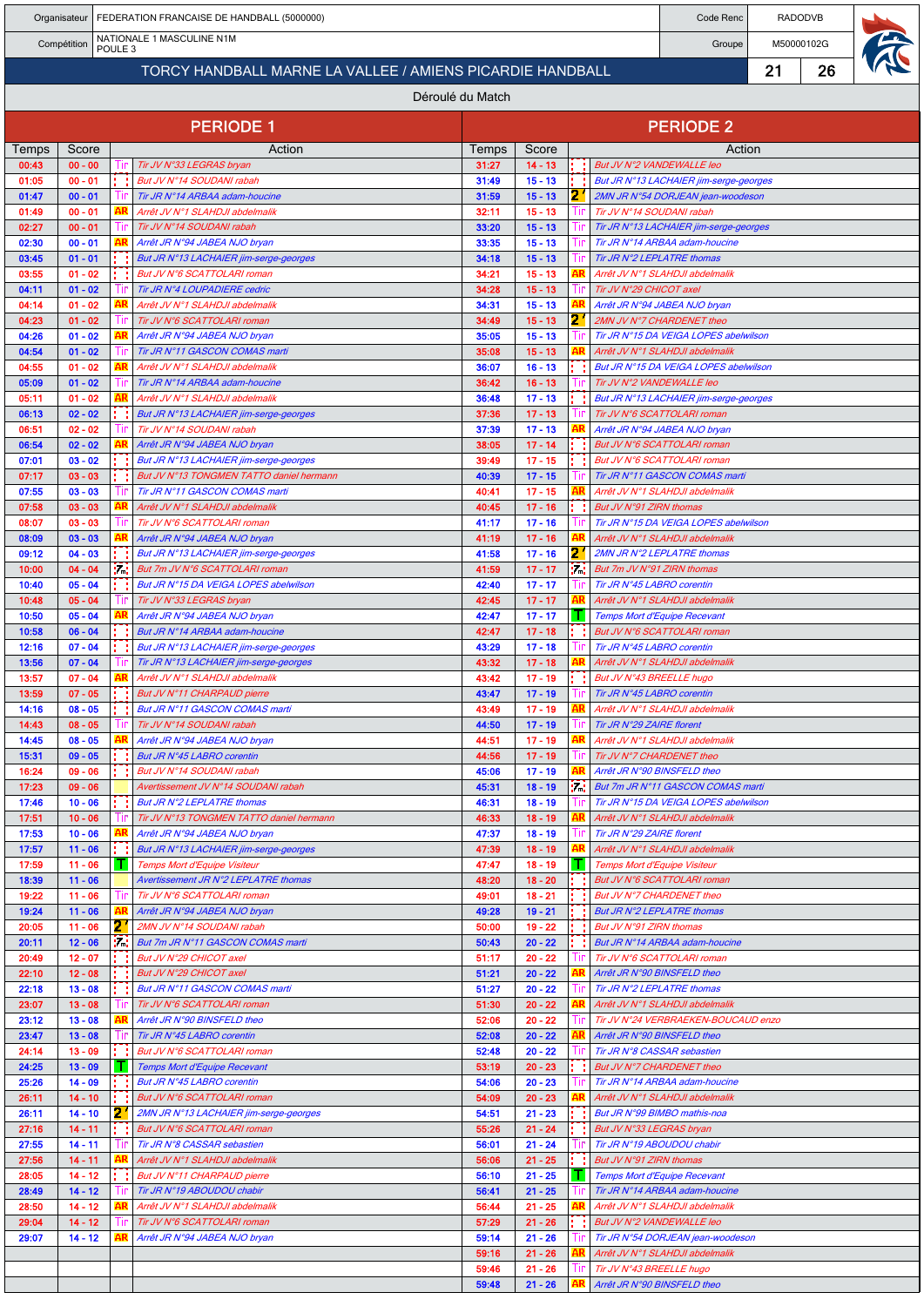| FEDERATION FRANCAISE DE HANDBALL (5000000)<br>Organisateur     |                        |  |                        |                                                                                    |                |                        |           | Code Renc                                                                | <b>RADODVB</b> |  |  |  |  |  |
|----------------------------------------------------------------|------------------------|--|------------------------|------------------------------------------------------------------------------------|----------------|------------------------|-----------|--------------------------------------------------------------------------|----------------|--|--|--|--|--|
| NATIONALE 1 MASCULINE N1M<br>Compétition<br>POULE <sub>3</sub> |                        |  |                        |                                                                                    |                |                        |           | Groupe                                                                   | M50000102G     |  |  |  |  |  |
| TORCY HANDBALL MARNE LA VALLEE / AMIENS PICARDIE HANDBALL      |                        |  |                        |                                                                                    |                |                        |           | 21                                                                       | 26             |  |  |  |  |  |
| Déroulé du Match                                               |                        |  |                        |                                                                                    |                |                        |           |                                                                          |                |  |  |  |  |  |
|                                                                |                        |  |                        | <b>PERIODE 1</b>                                                                   |                |                        |           | <b>PERIODE 2</b>                                                         |                |  |  |  |  |  |
| Temps                                                          | Score                  |  |                        | Action                                                                             | Temps          | Score                  |           | Action                                                                   |                |  |  |  |  |  |
| 00:43<br>01:05                                                 | $00 - 00$<br>$00 - 01$ |  | lır                    | Tir JV N°33 LEGRAS bryan<br>But JV N°14 SOUDANI rabah                              | 31:27<br>31:49 | $14 - 13$<br>$15 - 13$ | 1 I       | But JV N°2 VANDEWALLE leo<br>But JR N°13 LACHAIER jim-serge-georges      |                |  |  |  |  |  |
| 01:47                                                          | $00 - 01$              |  |                        | Tir JR N°14 ARBAA adam-houcine                                                     | 31:59          | $15 - 13$              | 21        | 2MN JR N°54 DORJEAN jean-woodeson                                        |                |  |  |  |  |  |
| 01:49<br>02:27                                                 | $00 - 01$<br>$00 - 01$ |  | AR                     | Arrêt JV N°1 SLAHDJI abdelmalik                                                    | 32:11<br>33:20 | $15 - 13$              | Шr        | Tir JV N°14 SOUDANI rabah                                                |                |  |  |  |  |  |
| 02:30                                                          | $00 - 01$              |  |                        | Tir JV N°14 SOUDANI rabah<br>Arrêt JR N°94 JABEA NJO bryan                         | 33:35          | $15 - 13$<br>$15 - 13$ |           | Tir JR N°13 LACHAIER jim-serge-georges<br>Tir JR N°14 ARBAA adam-houcine |                |  |  |  |  |  |
| 03:45                                                          | $01 - 01$              |  |                        | But JR N°13 LACHAIER jim-serge-georges                                             | 34:18          | $15 - 13$              | lır       | Tir JR N°2 LEPLATRE thomas                                               |                |  |  |  |  |  |
| 03:55<br>04:11                                                 | $01 - 02$<br>$01 - 02$ |  |                        | But JV N°6 SCATTOLARI roman<br>Tir JR N°4 LOUPADIERE cedric                        | 34:21<br>34:28 | $15 - 13$<br>$15 - 13$ | AR        | Arrêt JV N°1 SLAHDJI abdelmalik<br>Tir JV N°29 CHICOT axel               |                |  |  |  |  |  |
| 04:14                                                          | $01 - 02$              |  | AR                     | Arrêt JV N°1 SLAHDJI abdelmalik                                                    | 34:31          | $15 - 13$              | AR        | Arrêt JR N°94 JABEA NJO bryan                                            |                |  |  |  |  |  |
| 04:23<br>04:26                                                 | $01 - 02$<br>$01 - 02$ |  |                        | Tir JV N°6 SCATTOLARI roman<br>Arrêt JR N°94 JABEA NJO bryan                       | 34:49<br>35:05 | $15 - 13$<br>$15 - 13$ |           | 2MN JV N°7 CHARDENET theo<br>Tir JR N°15 DA VEIGA LOPES abelwilson       |                |  |  |  |  |  |
| 04:54                                                          | $01 - 02$              |  |                        | Tir JR N°11 GASCON COMAS marti                                                     | 35:08          | $15 - 13$              | AR        | Arrêt JV N°1 SLAHDJI abdelmalik                                          |                |  |  |  |  |  |
| 04:55<br>05:09                                                 | $01 - 02$<br>$01 - 02$ |  |                        | Arrêt JV N°1 SLAHDJI abdelmalik<br>Tir JR N°14 ARBAA adam-houcine                  | 36:07<br>36:42 | $16 - 13$<br>$16 - 13$ |           | But JR N°15 DA VEIGA LOPES abelwilson<br>Tir JV N°2 VANDEWALLE leo       |                |  |  |  |  |  |
| 05:11                                                          | $01 - 02$              |  |                        | Arrêt JV N°1 SLAHDJI abdelmalik                                                    | 36:48          | $17 - 13$              |           | But JR N°13 LACHAIER jim-serge-georges                                   |                |  |  |  |  |  |
| 06:13<br>06:51                                                 | $02 - 02$<br>$02 - 02$ |  |                        | But JR N°13 LACHAIER jim-serge-georges<br>Tir JV N°14 SOUDANI rabah                | 37:36<br>37:39 | $17 - 13$<br>$17 - 13$ | AR        | Tir JV N°6 SCATTOLARI roman<br>Arrêt JR N°94 JABEA NJO bryan             |                |  |  |  |  |  |
| 06:54                                                          | $02 - 02$              |  |                        | Arrêt JR N°94 JABEA NJO bryan                                                      | 38:05          | $17 - 14$              |           | But JV N°6 SCATTOLARI roman                                              |                |  |  |  |  |  |
| 07:01<br>07:17                                                 | $03 - 02$<br>$03 - 03$ |  |                        | But JR N°13 LACHAIER jim-serge-georges<br>But JV N°13 TONGMEN TATTO daniel hermann | 39:49<br>40:39 | $17 - 15$<br>$17 - 15$ |           | But JV N°6 SCATTOLARI roman<br>Tir JR N°11 GASCON COMAS marti            |                |  |  |  |  |  |
| 07:55                                                          | $03 - 03$              |  |                        | Tir JR N°11 GASCON COMAS marti                                                     | 40:41          | $17 - 15$              | AR        | Arrêt JV N°1 SLAHDJI abdelmalik                                          |                |  |  |  |  |  |
| 07:58<br>08:07                                                 | $03 - 03$<br>$03 - 03$ |  |                        | Arrêt JV N°1 SLAHDJI abdelmalik<br>Tir JV N°6 SCATTOLARI roman                     | 40:45<br>41:17 | $17 - 16$<br>$17 - 16$ |           | But JV N°91 ZIRN thomas<br>Tir JR N°15 DA VEIGA LOPES abelwilson         |                |  |  |  |  |  |
| 08:09                                                          | $03 - 03$              |  |                        | Arrêt JR N°94 JABEA NJO bryan                                                      | 41:19          | $17 - 16$              | AR        | Arrêt JV N°1 SLAHDJI abdelmalik                                          |                |  |  |  |  |  |
| 09:12                                                          | $04 - 03$              |  |                        | But JR N°13 LACHAIER jim-serge-georges                                             | 41:58          | $17 - 16$              |           | 2MN JR N°2 LEPLATRE thomas                                               |                |  |  |  |  |  |
| 10:00<br>10:40                                                 | $04 - 04$<br>$05 - 04$ |  | Уđ                     | But 7m JV N°6 SCATTOLARI roman<br>But JR N°15 DA VEIGA LOPES abelwilson            | 41:59<br>42:40 | $17 - 17$<br>$17 - 17$ | Уd.<br>Шr | But 7m JV N°91 ZIRN thomas<br>Tir JR N°45 LABRO corentin                 |                |  |  |  |  |  |
| 10:48                                                          | $05 - 04$              |  |                        | Tir JV N°33 LEGRAS bryan                                                           | 42:45          | $17 - 17$              |           | Arrêt JV N°1 SLAHDJI abdelmalik                                          |                |  |  |  |  |  |
| 10:50<br>10:58                                                 | $05 - 04$<br>$06 - 04$ |  |                        | Arrêt JR N°94 JABEA NJO bryan<br>But JR N°14 ARBAA adam-houcine                    | 42:47<br>42:47 | $17 - 17$<br>$17 - 18$ |           | Temps Mort d'Equipe Recevant<br>But JV N°6 SCATTOLARI roman              |                |  |  |  |  |  |
| 12:16                                                          | $07 - 04$              |  |                        | But JR N°13 LACHAIER jim-serge-georges                                             | 43:29          | $17 - 18$              |           | Tir JR N°45 LABRO corentin                                               |                |  |  |  |  |  |
| 13:56<br>13:57                                                 | $07 - 04$<br>$07 - 04$ |  | AR                     | Tir JR N°13 LACHAIER jim-serge-georges<br>Arrêt JV N°1 SLAHDJI abdelmalik          | 43:32<br>43:42 | $17 - 18$<br>$17 - 19$ | . .       | AR<br>Arrêt JV N°1 SLAHDJI abdelmalik<br>But JV N°43 BREELLE hugo        |                |  |  |  |  |  |
| 13:59                                                          | $07 - 05$              |  |                        | But JV N°11 CHARPAUD pierre                                                        | 43:47          | $17 - 19$              |           | Tir JR N°45 LABRO corentin                                               |                |  |  |  |  |  |
| 14:16<br>14:43                                                 | $08 - 05$<br>$08 - 05$ |  |                        | But JR N°11 GASCON COMAS marti<br>Tir JV N°14 SOUDANI rabah                        | 43:49<br>44:50 | $17 - 19$<br>$17 - 19$ | AR<br>Шr  | Arrêt JV N°1 SLAHDJI abdelmalik<br>Tir JR N°29 ZAIRE florent             |                |  |  |  |  |  |
| 14:45                                                          | $08 - 05$              |  |                        | Arrêt JR N°94 JABEA NJO bryan                                                      | 44:51          | $17 - 19$              |           | Arrêt JV N°1 SLAHDJI abdelmalik                                          |                |  |  |  |  |  |
| 15:31<br>16:24                                                 | $09 - 05$<br>$09 - 06$ |  |                        | But JR N°45 LABRO corentin<br>But JV N°14 SOUDANI rabah                            | 44:56<br>45:06 | $17 - 19$<br>$17 - 19$ | AR        | Tir JV N°7 CHARDENET theo<br>Arrêt JR N°90 BINSFELD theo                 |                |  |  |  |  |  |
| 17:23                                                          | $09 - 06$              |  |                        | Avertissement JV N°14 SOUDANI rabah                                                | 45:31          | $18 - 19$              | 54        | But 7m JR N°11 GASCON COMAS marti                                        |                |  |  |  |  |  |
| 17:46<br>17:51                                                 | $10 - 06$<br>$10 - 06$ |  | Ш                      | But JR N°2 LEPLATRE thomas<br>Tir JV N°13 TONGMEN TATTO daniel hermann             | 46:31<br>46:33 | $18 - 19$<br>$18 - 19$ | AR        | Tir JR N°15 DA VEIGA LOPES abelwilson<br>Arrêt JV N°1 SLAHDJI abdelmalik |                |  |  |  |  |  |
| 17:53                                                          | $10 - 06$              |  | AR                     | Arrêt JR N°94 JABEA NJO bryan                                                      | 47:37          | $18 - 19$              |           | Tir JR N°29 ZAIRE florent                                                |                |  |  |  |  |  |
| 17:57<br>17:59                                                 | $11 - 06$<br>$11 - 06$ |  | т                      | But JR N°13 LACHAIER jim-serge-georges<br><b>Temps Mort d'Equipe Visiteur</b>      | 47:39<br>47:47 | $18 - 19$<br>$18 - 19$ | AR<br>т   | Arrêt JV N°1 SLAHDJI abdelmalik<br>Temps Mort d'Equipe Visiteur          |                |  |  |  |  |  |
| 18:39                                                          | $11 - 06$              |  |                        | Avertissement JR N°2 LEPLATRE thomas                                               | 48:20          | $18 - 20$              |           | But JV N°6 SCATTOLARI roman                                              |                |  |  |  |  |  |
| 19:22<br>19:24                                                 | $11 - 06$<br>$11 - 06$ |  | AR                     | Tir JV N°6 SCATTOLARI roman<br>Arrêt JR N°94 JABEA NJO bryan                       | 49:01<br>49:28 | $18 - 21$<br>$19 - 21$ | 1 L<br>tτ | But JV N°7 CHARDENET theo<br><b>But JR N°2 LEPLATRE thomas</b>           |                |  |  |  |  |  |
| 20:05                                                          | $11 - 06$              |  | 2.                     | 2MN JV N°14 SOUDANI rabah                                                          | 50:00          | $19 - 22$              |           | But JV N°91 ZIRN thomas                                                  |                |  |  |  |  |  |
| 20:11<br>20:49                                                 | $12 - 06$<br>$12 - 07$ |  | 10 <sup>2</sup><br>t t | But 7m JR N°11 GASCON COMAS marti<br>But JV N°29 CHICOT axel                       | 50:43<br>51:17 | $20 - 22$<br>$20 - 22$ | Tir       | But JR N°14 ARBAA adam-houcine<br>Tir JV N°6 SCATTOLARI roman            |                |  |  |  |  |  |
| 22:10                                                          | $12 - 08$              |  |                        | But JV N°29 CHICOT axel                                                            | 51:21          | $20 - 22$              | AR        | Arrêt JR N°90 BINSFELD theo                                              |                |  |  |  |  |  |
| 22:18<br>23:07                                                 | $13 - 08$<br>$13 - 08$ |  |                        | But JR N°11 GASCON COMAS marti<br>Tir JV N°6 SCATTOLARI roman                      | 51:27<br>51:30 | $20 - 22$<br>$20 - 22$ | AR        | Tir JR N°2 LEPLATRE thomas<br>Arrêt JV N°1 SLAHDJI abdelmalik            |                |  |  |  |  |  |
| 23:12                                                          | $13 - 08$              |  |                        | Arrêt JR N°90 BINSFELD theo                                                        | 52:06          | $20 - 22$              | Tin       | Tir JV N°24 VERBRAEKEN-BOUCAUD enzo                                      |                |  |  |  |  |  |
| 23:47                                                          | $13 - 08$              |  |                        | Tir JR N°45 LABRO corentin                                                         | 52:08          | $20 - 22$              |           | Arrêt JR N°90 BINSFELD theo                                              |                |  |  |  |  |  |
| 24:14<br>24:25                                                 | $13 - 09$<br>$13 - 09$ |  | t t                    | But JV N°6 SCATTOLARI roman<br>Temps Mort d'Equipe Recevant                        | 52:48<br>53:19 | $20 - 22$<br>$20 - 23$ | t t       | Tir JR N°8 CASSAR sebastien<br>But JV N°7 CHARDENET theo                 |                |  |  |  |  |  |
| 25:26                                                          | $14 - 09$              |  |                        | But JR N°45 LABRO corentin                                                         | 54:06          | $20 - 23$              | AR        | Tir JR N°14 ARBAA adam-houcine                                           |                |  |  |  |  |  |
| 26:11<br>26:11                                                 | $14 - 10$<br>$14 - 10$ |  | t t<br>21              | But JV N°6 SCATTOLARI roman<br>2MN JR N°13 LACHAIER jim-serge-georges              | 54:09<br>54:51 | $20 - 23$<br>$21 - 23$ | 1 L       | Arrêt JV N°1 SLAHDJI abdelmalik<br>But JR N°99 BIMBO mathis-noa          |                |  |  |  |  |  |
| 27:16                                                          | $14 - 11$              |  |                        | But JV N°6 SCATTOLARI roman                                                        | 55:26          | $21 - 24$              |           | But JV N°33 LEGRAS bryan                                                 |                |  |  |  |  |  |
| 27:55<br>27:56                                                 | $14 - 11$<br>$14 - 11$ |  | AR                     | Tir JR N°8 CASSAR sebastien<br>Arrêt JV N°1 SLAHDJI abdelmalik                     | 56:01<br>56:06 | $21 - 24$<br>$21 - 25$ | 14        | Tir JR N°19 ABOUDOU chabir<br>But JV N°91 ZIRN thomas                    |                |  |  |  |  |  |
| 28:05                                                          | $14 - 12$              |  |                        | But JV N°11 CHARPAUD pierre                                                        | 56:10          | $21 - 25$              | -11       | Temps Mort d'Equipe Recevant                                             |                |  |  |  |  |  |
| 28:49<br>28:50                                                 | $14 - 12$<br>$14 - 12$ |  | AR                     | Tir JR N°19 ABOUDOU chabir<br>Arrêt JV N°1 SLAHDJI abdelmalik                      | 56:41<br>56:44 | $21 - 25$<br>$21 - 25$ | AR        | Tir JR N°14 ARBAA adam-houcine<br>Arrêt JV N°1 SLAHDJI abdelmalik        |                |  |  |  |  |  |
| 29:04                                                          | $14 - 12$              |  |                        | Tir JV N°6 SCATTOLARI roman                                                        | 57:29          | $21 - 26$              |           | But JV N°2 VANDEWALLE leo                                                |                |  |  |  |  |  |
| 29:07                                                          | $14 - 12$              |  |                        | Arrêt JR N°94 JABEA NJO bryan                                                      | 59:14<br>59:16 | $21 - 26$<br>$21 - 26$ | AR        | Tir JR N°54 DORJEAN jean-woodeson<br>Arrêt JV N°1 SLAHDJI abdelmalik     |                |  |  |  |  |  |
|                                                                |                        |  |                        |                                                                                    | 59:46          | $21 - 26$              |           | Tir JV N°43 BREELLE hugo                                                 |                |  |  |  |  |  |
|                                                                |                        |  |                        |                                                                                    | 59:48          | $21 - 26$              |           | Arrêt JR N°90 BINSFELD theo                                              |                |  |  |  |  |  |